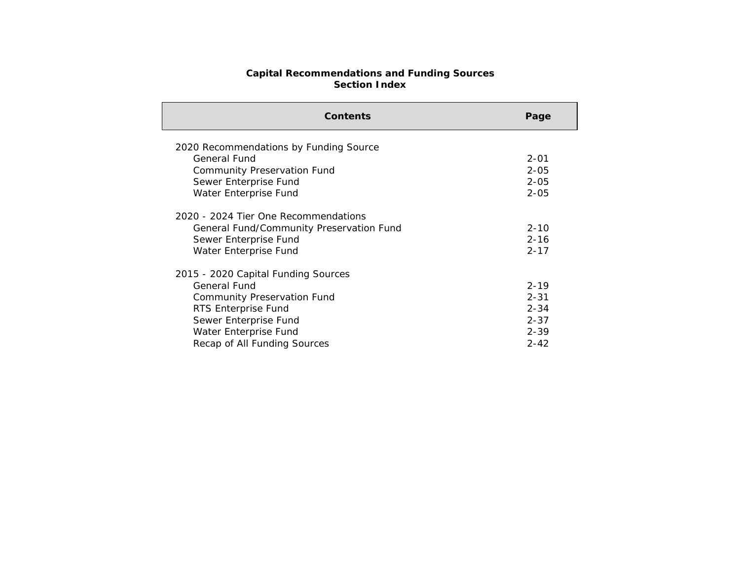## **Capital Recommendations and Funding Sources Section Index**

| <b>Contents</b>                          | Page     |
|------------------------------------------|----------|
| 2020 Recommendations by Funding Source   |          |
| General Fund                             | $2 - 01$ |
| <b>Community Preservation Fund</b>       | $2 - 05$ |
| Sewer Enterprise Fund                    | $2 - 05$ |
| Water Enterprise Fund                    | $2 - 05$ |
| 2020 - 2024 Tier One Recommendations     |          |
| General Fund/Community Preservation Fund | $2 - 10$ |
| Sewer Enterprise Fund                    | $2 - 16$ |
| Water Enterprise Fund                    | $2 - 17$ |
| 2015 - 2020 Capital Funding Sources      |          |
| <b>General Fund</b>                      | $2 - 19$ |
| <b>Community Preservation Fund</b>       | $2 - 31$ |
| RTS Enterprise Fund                      | $2 - 34$ |
| Sewer Enterprise Fund                    | $2 - 37$ |
| Water Enterprise Fund                    | $2 - 39$ |
| Recap of All Funding Sources             | $2 - 42$ |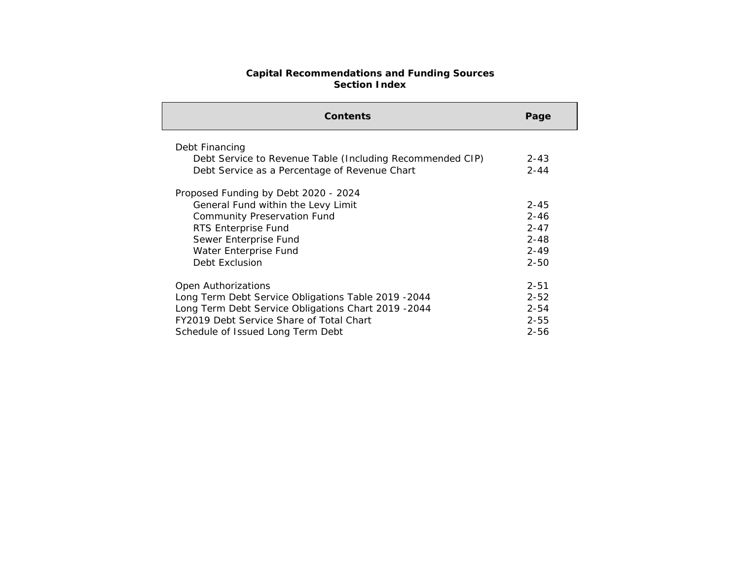## **Capital Recommendations and Funding Sources Section Index**

| <b>Contents</b>                                                                                                                                                                                                      | Page                                                                 |
|----------------------------------------------------------------------------------------------------------------------------------------------------------------------------------------------------------------------|----------------------------------------------------------------------|
| Debt Financing<br>Debt Service to Revenue Table (Including Recommended CIP)<br>Debt Service as a Percentage of Revenue Chart                                                                                         | $2 - 43$<br>$2 - 44$                                                 |
| Proposed Funding by Debt 2020 - 2024<br>General Fund within the Levy Limit<br><b>Community Preservation Fund</b><br>RTS Enterprise Fund<br>Sewer Enterprise Fund<br>Water Enterprise Fund<br>Debt Exclusion          | $2 - 45$<br>$2 - 46$<br>$2 - 47$<br>$2 - 48$<br>$2 - 49$<br>$2 - 50$ |
| Open Authorizations<br>Long Term Debt Service Obligations Table 2019 - 2044<br>Long Term Debt Service Obligations Chart 2019 - 2044<br>FY2019 Debt Service Share of Total Chart<br>Schedule of Issued Long Term Debt | $2 - 51$<br>$2 - 52$<br>$2 - 54$<br>$2 - 55$<br>$2 - 56$             |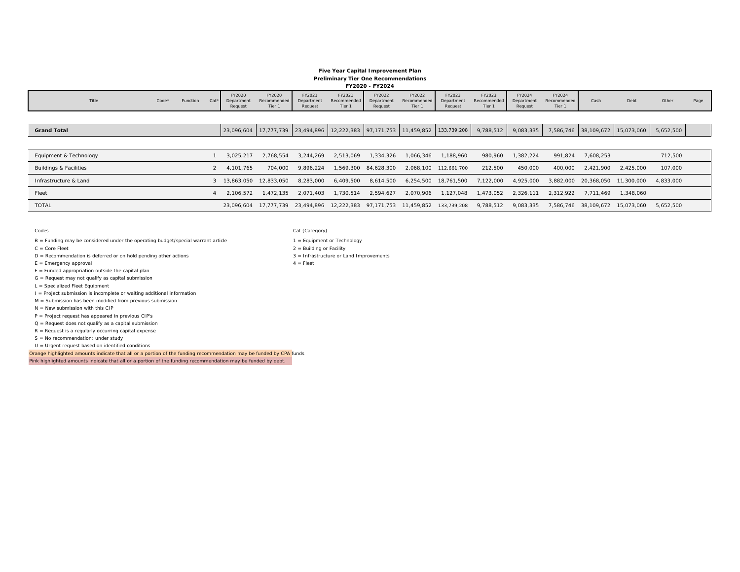## Town of Needham Capital Improvement Plan January 2019

## **Five Year Capital Improvement Plan Preliminary Tier One Recommendations FY2020 - FY2024**

| 112020 - 11202 <del>1</del> |         |          |  |         |        |         |        |         |        |         |                                                                                                                         |         |        |        |        |        |        |  |  |  |  |
|-----------------------------|---------|----------|--|---------|--------|---------|--------|---------|--------|---------|-------------------------------------------------------------------------------------------------------------------------|---------|--------|--------|--------|--------|--------|--|--|--|--|
|                             |         |          |  |         |        |         |        | FY2020  | FY2020 | FY2021  | FY2021                                                                                                                  | FY2022  | FY2022 | FY2023 | FY2023 | FY2024 | FY2024 |  |  |  |  |
| Title                       | $Code*$ | Function |  |         |        |         |        |         |        |         | Cat* Department Recommended Department Recommended Department Recommended Department Recommended Department Recommended |         |        | Cash   | Debt   | Other  | Page   |  |  |  |  |
|                             |         |          |  | Request | Tier 1 | Request | Tier 1 | Request | Tier 1 | Request | Tier 1                                                                                                                  | Request | Tier 1 |        |        |        |        |  |  |  |  |
|                             |         |          |  |         |        |         |        |         |        |         |                                                                                                                         |         |        |        |        |        |        |  |  |  |  |

| <b>Grand Total</b>     |                       |           |           |           |            | 23,096,604   17,777,739   23,494,896   12,222,383   97,171,753   11,459,852   133,739,208 |                       | 9,788,512 | 9,083,335 |           |                      | 7,586,746 38,109,672 15,073,060 | 5,652,500 |  |
|------------------------|-----------------------|-----------|-----------|-----------|------------|-------------------------------------------------------------------------------------------|-----------------------|-----------|-----------|-----------|----------------------|---------------------------------|-----------|--|
|                        |                       |           |           |           |            |                                                                                           |                       |           |           |           |                      |                                 |           |  |
| Equipment & Technology | 3.025.217             | 2.768.554 | 3.244.269 | 2.513.069 | 1,334,326  | 1.066.346                                                                                 | .188.960              | 980.960   | 1.382.224 | 991.824   | 7,608,253            |                                 | 712,500   |  |
| Buildings & Facilities | 4.101.765             | 704.000   | 9.896.224 | 1,569,300 | 84,628,300 |                                                                                           | 2.068.100 112,661,700 | 212,500   | 450,000   | 400,000   | 2.421.900            | 2.425.000                       | 107,000   |  |
| Infrastructure & Land  | 13.863.050 12.833.050 |           | 8.283.000 | 6.409.500 | 8,614,500  |                                                                                           | 6,254,500 18,761,500  | 7,122,000 | 4.925.000 |           | 3.882.000 20.368.050 | 11,300,000                      | 4.833.000 |  |
| Fleet                  | 2.106.572             | 1.472.135 | 2.071.403 | 1.730.514 | 2.594.627  | 2.070.906                                                                                 | .127.048              | 1,473,052 | 2.326.111 | 2.312.922 | 7.711.469            | 1,348,060                       |           |  |
| <b>TOTAL</b>           |                       |           |           |           |            | 23,096,604 17,777,739 23,494,896 12,222,383 97,171,753 11,459,852 133,739,208             |                       | 9,788,512 | 9,083,335 |           |                      | 7,586,746 38,109,672 15,073,060 | 5.652.500 |  |
|                        |                       |           |           |           |            |                                                                                           |                       |           |           |           |                      |                                 |           |  |

Codes

**Grand Total**

B = Funding may be considered under the operating budget/special warrant article 1 = 1 = Equipment or Technology

C = Core Fleet

D = Recommendation is deferred or on hold pending other actions 3 = 1nfrastructure or Land Improvements

 $E =$  Emergency approval  $4 =$  Fleet

 $F =$  Funded appropriation outside the capital plan

G = Request may not qualify as capital submission

L = Specialized Fleet Equipment

I = Project submission is incomplete or waiting additional information

M = Submission has been modified from previous submission

N = New submission with this CIP

P = Project request has appeared in previous CIP's

Q = Request does not qualify as a capital submission

 $R =$  Request is a regularly occurring capital expense

 $S = No$  recommendation; under study

U = Urgent request based on identified conditions

Orange highlighted amounts indicate that all or a portion of the funding recommendation may be funded by CPA funds Pink highlighted amounts indicate that all or a portion of the funding recommendation may be funded by debt.

Cat (Category)

2 = Building or Facility